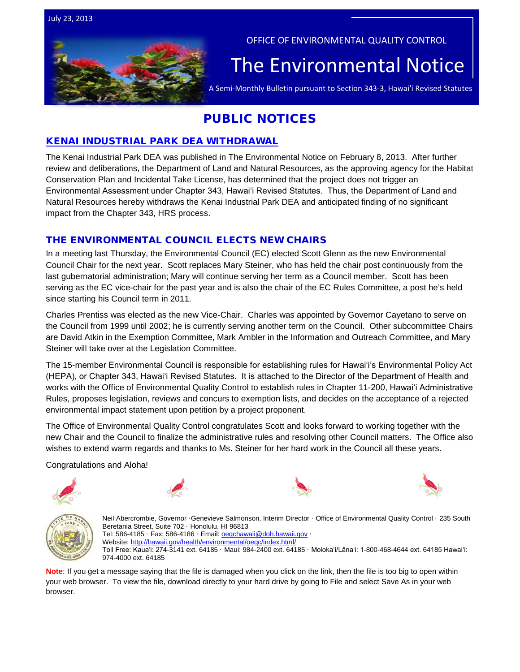



OFFICE OF ENVIRONMENTAL QUALITY CONTROL

# The  $\bar{\mathsf{Environmental} }$  Notice  $|$ <br>A Semi-Monthly Bulletin pursuant to Section 343-3, Hawai'i Revised Statutes

# PUBLIC NOTICES

# [KENAI INDUSTRIAL PARK DEA WITHDRAWAL](http://oeqc.doh.hawaii.gov/Shared%20Documents/EA_and_EIS_Online_Library/OTHER%20CHAPTER%20343%20NOTICES/2013-07-23-OA-Withdrawl-DEA-Kenai-Industrial-Park.pdf)

The Kenai Industrial Park DEA was published in The Environmental Notice on February 8, 2013. After further review and deliberations, the Department of Land and Natural Resources, as the approving agency for the Habitat Conservation Plan and Incidental Take License, has determined that the project does not trigger an Environmental Assessment under Chapter 343, Hawaiʻi Revised Statutes. Thus, the Department of Land and Natural Resources hereby withdraws the Kenai Industrial Park DEA and anticipated finding of no significant impact from the Chapter 343, HRS process.

# THE ENVIRONMENTAL COUNCIL ELECTS NEW CHAIRS

In a meeting last Thursday, the Environmental Council (EC) elected Scott Glenn as the new Environmental Council Chair for the next year. Scott replaces Mary Steiner, who has held the chair post continuously from the last gubernatorial administration; Mary will continue serving her term as a Council member. Scott has been serving as the EC vice-chair for the past year and is also the chair of the EC Rules Committee, a post he's held since starting his Council term in 2011.

Charles Prentiss was elected as the new Vice-Chair. Charles was appointed by Governor Cayetano to serve on the Council from 1999 until 2002; he is currently serving another term on the Council. Other subcommittee Chairs are David Atkin in the Exemption Committee, Mark Ambler in the Information and Outreach Committee, and Mary Steiner will take over at the Legislation Committee.

The 15-member Environmental Council is responsible for establishing rules for Hawaiʻi's Environmental Policy Act (HEPA), or Chapter 343, Hawaiʻi Revised Statutes. It is attached to the Director of the Department of Health and works with the Office of Environmental Quality Control to establish rules in Chapter 11-200, Hawaiʻi Administrative Rules, proposes legislation, reviews and concurs to exemption lists, and decides on the acceptance of a rejected environmental impact statement upon petition by a project proponent.

The Office of Environmental Quality Control congratulates Scott and looks forward to working together with the new Chair and the Council to finalize the administrative rules and resolving other Council matters. The Office also wishes to extend warm regards and thanks to Ms. Steiner for her hard work in the Council all these years.

Congratulations and Aloha!











Neil Abercrombie, Governor ·Genevieve Salmonson, Interim Director · Office of Environmental Quality Control · 235 South Beretania Street, Suite 702 · Honolulu, HI 96813 Tel: 586-4185 · Fax: 586-4186 · Email: **oegchawaii@doh.hawaii.gov** · Website:<http://hawaii.gov/health/environmental/oeqc/index.html/> Toll Free: Kauaʻi: 274-3141 ext. 64185 · Maui: 984-2400 ext. 64185 · Molokaʻi/Lānaʻi: 1-800-468-4644 ext. 64185 Hawaiʻi: 974-4000 ext. 64185

**Note**: If you get a message saying that the file is damaged when you click on the link, then the file is too big to open within your web browser. To view the file, download directly to your hard drive by going to File and select Save As in your web browser.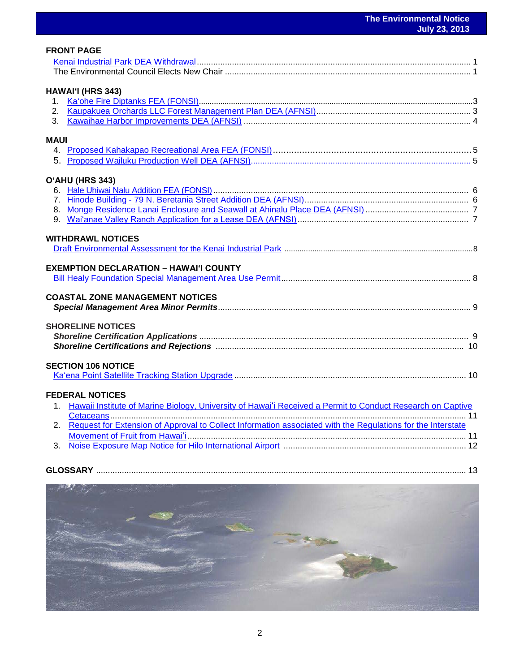| <b>FRONT PAGE</b>                                                                                              |  |
|----------------------------------------------------------------------------------------------------------------|--|
|                                                                                                                |  |
|                                                                                                                |  |
|                                                                                                                |  |
| HAWAI'I (HRS 343)                                                                                              |  |
|                                                                                                                |  |
|                                                                                                                |  |
| 3.                                                                                                             |  |
|                                                                                                                |  |
| <b>MAUI</b>                                                                                                    |  |
|                                                                                                                |  |
|                                                                                                                |  |
| O'AHU (HRS 343)                                                                                                |  |
|                                                                                                                |  |
|                                                                                                                |  |
|                                                                                                                |  |
|                                                                                                                |  |
|                                                                                                                |  |
| <b>WITHDRAWL NOTICES</b>                                                                                       |  |
|                                                                                                                |  |
|                                                                                                                |  |
| <b>EXEMPTION DECLARATION - HAWAI'I COUNTY</b>                                                                  |  |
|                                                                                                                |  |
| <b>COASTAL ZONE MANAGEMENT NOTICES</b>                                                                         |  |
|                                                                                                                |  |
|                                                                                                                |  |
| <b>SHORELINE NOTICES</b>                                                                                       |  |
|                                                                                                                |  |
|                                                                                                                |  |
|                                                                                                                |  |
| <b>SECTION 106 NOTICE</b>                                                                                      |  |
|                                                                                                                |  |
|                                                                                                                |  |
| <b>FEDERAL NOTICES</b>                                                                                         |  |
| 1. Hawaii Institute of Marine Biology, University of Hawai'i Received a Permit to Conduct Research on Captive  |  |
|                                                                                                                |  |
| 2. Request for Extension of Approval to Collect Information associated with the Regulations for the Interstate |  |
|                                                                                                                |  |
|                                                                                                                |  |
|                                                                                                                |  |
|                                                                                                                |  |

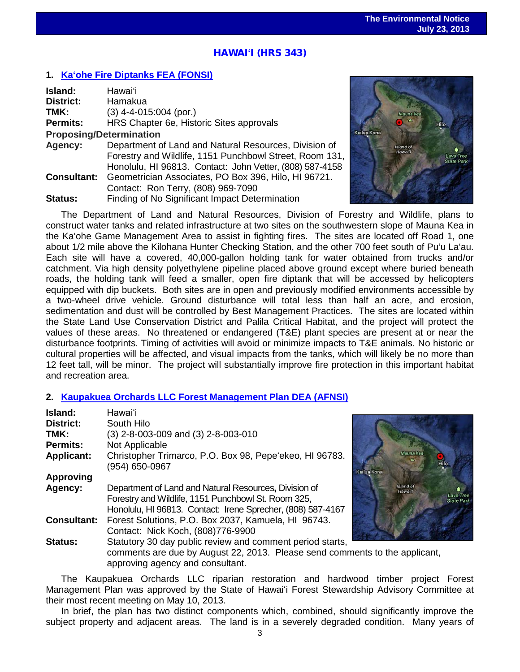# ֖֖֦֧֦֧֧֚֚֚֚֚֚֚֚֚֚֚֚֚֚֚֚֬֡֡֡֡֞֡֡֡֬֡֡֡֬֡֡֡֡֬֞֡֡֡֬ HAWAI**ʻ**I (HRS 343)

#### **1. Ka'ohe [Fire Diptanks](http://oeqc.doh.hawaii.gov/Shared%20Documents/EA_and_EIS_Online_Library/Hawaii/2010s/2013-07-23-HA-FEA-5B-Kaohe-Fire-Diptanks.pdf) FEA (FONSI)**

| Island:                        | Hawaiʻi                                                  |  |
|--------------------------------|----------------------------------------------------------|--|
| <b>District:</b>               | Hamakua                                                  |  |
| TMK:                           | $(3)$ 4-4-015:004 (por.)                                 |  |
| <b>Permits:</b>                | HRS Chapter 6e, Historic Sites approvals                 |  |
| <b>Proposing/Determination</b> |                                                          |  |
| Agency:                        | Department of Land and Natural Resources, Division of    |  |
|                                | Forestry and Wildlife, 1151 Punchbowl Street, Room 131,  |  |
|                                | Honolulu, HI 96813. Contact: John Vetter, (808) 587-4158 |  |
| <b>Consultant:</b>             | Geometrician Associates, PO Box 396, Hilo, HI 96721.     |  |
|                                | Contact: Ron Terry, (808) 969-7090                       |  |
| <b>Status:</b>                 | Finding of No Significant Impact Determination           |  |



The Department of Land and Natural Resources, Division of Forestry and Wildlife, plans to construct water tanks and related infrastructure at two sites on the southwestern slope of Mauna Kea in the Ka'ohe Game Management Area to assist in fighting fires. The sites are located off Road 1, one about 1/2 mile above the Kilohana Hunter Checking Station, and the other 700 feet south of Pu'u La'au. Each site will have a covered, 40,000-gallon holding tank for water obtained from trucks and/or catchment. Via high density polyethylene pipeline placed above ground except where buried beneath roads, the holding tank will feed a smaller, open fire diptank that will be accessed by helicopters equipped with dip buckets. Both sites are in open and previously modified environments accessible by a two-wheel drive vehicle. Ground disturbance will total less than half an acre, and erosion, sedimentation and dust will be controlled by Best Management Practices. The sites are located within the State Land Use Conservation District and Palila Critical Habitat, and the project will protect the values of these areas. No threatened or endangered (T&E) plant species are present at or near the disturbance footprints. Timing of activities will avoid or minimize impacts to T&E animals. No historic or cultural properties will be affected, and visual impacts from the tanks, which will likely be no more than 12 feet tall, will be minor. The project will substantially improve fire protection in this important habitat and recreation area.

#### **2. [Kaupakuea Orchards LLC Forest Management Plan DEA \(AFNSI\)](http://oeqc.doh.hawaii.gov/Shared%20Documents/EA_and_EIS_Online_Library/Hawaii/2010s/2013-07-23-HA-DEA-5E-Kaupakuea-Orchards-LLC-Forest-Management-Plan.pdf)**

| Island:            | <b>Hawai</b> 'i                                                                                                                                                             |             |                      |             |
|--------------------|-----------------------------------------------------------------------------------------------------------------------------------------------------------------------------|-------------|----------------------|-------------|
| <b>District:</b>   | South Hilo                                                                                                                                                                  |             |                      |             |
| TMK:               | (3) 2-8-003-009 and (3) 2-8-003-010                                                                                                                                         |             |                      |             |
| <b>Permits:</b>    | Not Applicable                                                                                                                                                              |             |                      |             |
| <b>Applicant:</b>  | Christopher Trimarco, P.O. Box 98, Pepe'ekeo, HI 96783.<br>(954) 650-0967                                                                                                   | Kailua Kona | Mauna Kea            |             |
| <b>Approving</b>   |                                                                                                                                                                             |             |                      |             |
| Agency:            | Department of Land and Natural Resources, Division of<br>Forestry and Wildlife, 1151 Punchbowl St. Room 325,<br>Honolulu, HI 96813. Contact: Irene Sprecher, (808) 587-4167 |             | Island of<br>Hawai'l | Lav<br>Stat |
| <b>Consultant:</b> | Forest Solutions, P.O. Box 2037, Kamuela, HI 96743.<br>Contact: Nick Koch, (808)776-9900                                                                                    |             |                      |             |
| <b>Status:</b>     | Statutory 30 day public review and comment period starts,                                                                                                                   |             |                      |             |
|                    | comments are due by August 22, 2013. Please send comments to the applicant,<br>approving agency and consultant.                                                             |             |                      |             |

The Kaupakuea Orchards LLC riparian restoration and hardwood timber project Forest Management Plan was approved by the State of Hawaiʻi Forest Stewardship Advisory Committee at their most recent meeting on May 10, 2013.

In brief, the plan has two distinct components which, combined, should significantly improve the subject property and adjacent areas. The land is in a severely degraded condition. Many years of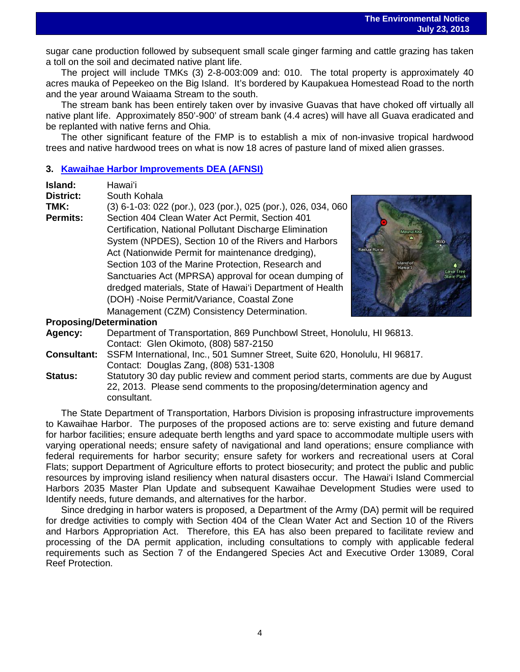sugar cane production followed by subsequent small scale ginger farming and cattle grazing has taken<br>sugar cane production followed by subsequent small scale ginger farming and cattle grazing has taken a toll on the soil and decimated native plant life.

The project will include TMKs (3) 2-8-003:009 and: 010. The total property is approximately 40 acres mauka of Pepeekeo on the Big Island. It's bordered by Kaupakuea Homestead Road to the north and the year around Waiaama Stream to the south.

The stream bank has been entirely taken over by invasive Guavas that have choked off virtually all native plant life. Approximately 850'-900' of stream bank (4.4 acres) will have all Guava eradicated and be replanted with native ferns and Ohia.

The other significant feature of the FMP is to establish a mix of non-invasive tropical hardwood trees and native hardwood trees on what is now 18 acres of pasture land of mixed alien grasses.

#### **3. Kawaihae Harbor [Improvements DEA \(AFNSI\)](http://oeqc.doh.hawaii.gov/Shared%20Documents/EA_and_EIS_Online_Library/Hawaii/2010s/2013-07-23-HA-DEA-5B-Kawaihae-Harbor.pdf)**

| Island:                        | Hawaiʻi                                                                              |  |  |  |
|--------------------------------|--------------------------------------------------------------------------------------|--|--|--|
| <b>District:</b>               | South Kohala                                                                         |  |  |  |
| TMK:                           | (3) 6-1-03: 022 (por.), 023 (por.), 025 (por.), 026, 034, 060                        |  |  |  |
| <b>Permits:</b>                | Section 404 Clean Water Act Permit, Section 401                                      |  |  |  |
|                                | Certification, National Pollutant Discharge Elimination<br>Mauna Kel                 |  |  |  |
|                                | System (NPDES), Section 10 of the Rivers and Harbors                                 |  |  |  |
|                                | Kailua Kona<br>Act (Nationwide Permit for maintenance dredging),                     |  |  |  |
|                                | Section 103 of the Marine Protection, Research and<br>sland of                       |  |  |  |
|                                | Sanctuaries Act (MPRSA) approval for ocean dumping of                                |  |  |  |
|                                | dredged materials, State of Hawai'i Department of Health                             |  |  |  |
|                                | (DOH) -Noise Permit/Variance, Coastal Zone                                           |  |  |  |
|                                | Management (CZM) Consistency Determination.                                          |  |  |  |
| <b>Proposing/Determination</b> |                                                                                      |  |  |  |
| Agency:                        | Department of Transportation, 869 Punchbowl Street, Honolulu, HI 96813.              |  |  |  |
|                                | Contact: Glen Okimoto, (808) 587-2150                                                |  |  |  |
| <b>Consultant:</b>             | SSFM International, Inc., 501 Sumner Street, Suite 620, Honolulu, HI 96817.          |  |  |  |
|                                | Contact: Douglas Zang, (808) 531-1308                                                |  |  |  |
| Status:                        | Statutory 30 day public review and comment period starts, comments are due by August |  |  |  |

22, 2013. Please send comments to the proposing/determination agency and consultant.

The State Department of Transportation, Harbors Division is proposing infrastructure improvements to Kawaihae Harbor. The purposes of the proposed actions are to: serve existing and future demand for harbor facilities; ensure adequate berth lengths and yard space to accommodate multiple users with varying operational needs; ensure safety of navigational and land operations; ensure compliance with federal requirements for harbor security; ensure safety for workers and recreational users at Coral Flats; support Department of Agriculture efforts to protect biosecurity; and protect the public and public resources by improving island resiliency when natural disasters occur. The Hawai'i Island Commercial Harbors 2035 Master Plan Update and subsequent Kawaihae Development Studies were used to Identify needs, future demands, and alternatives for the harbor.

Since dredging in harbor waters is proposed, a Department of the Army (DA) permit will be required for dredge activities to comply with Section 404 of the Clean Water Act and Section 10 of the Rivers and Harbors Appropriation Act. Therefore, this EA has also been prepared to facilitate review and processing of the DA permit application, including consultations to comply with applicable federal requirements such as Section 7 of the Endangered Species Act and Executive Order 13089, Coral Reef Protection.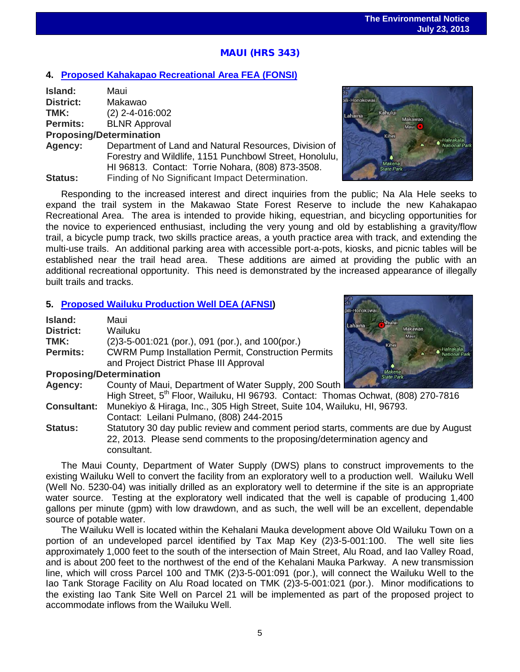# |<br>|<br>' MAUI (HRS 343)

#### **4. [Proposed Kahakapao Recreational Area](http://oeqc.doh.hawaii.gov/Shared%20Documents/EA_and_EIS_Online_Library/Maui/2010s/2013-07-23-MA-FEA-5B-Proposed-Kahakapao-Recreational-Area.pdf) FEA (FONSI)**

| Island:          | Maui                 |
|------------------|----------------------|
| <b>District:</b> | Makawao              |
| TMK:             | $(2)$ 2-4-016:002    |
| <b>Permits:</b>  | <b>BLNR Approval</b> |
|                  |                      |

**Proposing/Determination**

**Agency:** Department of Land and Natural Resources, Division of Forestry and Wildlife, 1151 Punchbowl Street, Honolulu, HI 96813. Contact: Torrie Nohara, (808) 873-3508. **Status:** Finding of No Significant Impact Determination.



Responding to the increased interest and direct inquiries from the public; Na Ala Hele seeks to expand the trail system in the Makawao State Forest Reserve to include the new Kahakapao Recreational Area. The area is intended to provide hiking, equestrian, and bicycling opportunities for the novice to experienced enthusiast, including the very young and old by establishing a gravity/flow trail, a bicycle pump track, two skills practice areas, a youth practice area with track, and extending the multi-use trails. An additional parking area with accessible port-a-pots, kiosks, and picnic tables will be established near the trail head area. These additions are aimed at providing the public with an additional recreational opportunity. This need is demonstrated by the increased appearance of illegally built trails and tracks.

#### **5. [Proposed Wailuku Production Well](http://oeqc.doh.hawaii.gov/Shared%20Documents/EA_and_EIS_Online_Library/Maui/2010s/2013-07-23-MA-DEA-5B-Proposed-Wailuku-Production-Well.pdf) DEA (AFNSI)**

| Island:                                             | Maui<br>Lahaina<br>Makawao                                                                    |  |  |
|-----------------------------------------------------|-----------------------------------------------------------------------------------------------|--|--|
| <b>District:</b>                                    | Wailuku<br>Maur                                                                               |  |  |
| TMK:                                                | $(2)3-5-001:021$ (por.), 091 (por.), and 100(por.)<br>Kihei                                   |  |  |
| <b>Permits:</b>                                     | <b>CWRM Pump Installation Permit, Construction Permits</b>                                    |  |  |
|                                                     | and Project District Phase III Approval                                                       |  |  |
| <b>Proposing/Determination</b><br><b>State Park</b> |                                                                                               |  |  |
| Agency:                                             | County of Maui, Department of Water Supply, 200 South                                         |  |  |
|                                                     | High Street, 5 <sup>th</sup> Floor, Wailuku, HI 96793. Contact: Thomas Ochwat, (808) 270-7816 |  |  |
| <b>Consultant:</b>                                  | Munekiyo & Hiraga, Inc., 305 High Street, Suite 104, Wailuku, HI, 96793.                      |  |  |
|                                                     | Contact: Leilani Pulmano, (808) 244-2015                                                      |  |  |
| Status:                                             | Statutory 30 day public review and comment period starts, comments are due by August          |  |  |
|                                                     | 22, 2013. Please send comments to the proposing/determination agency and                      |  |  |
|                                                     | consultant.                                                                                   |  |  |

The Maui County, Department of Water Supply (DWS) plans to construct improvements to the existing Wailuku Well to convert the facility from an exploratory well to a production well. Wailuku Well (Well No. 5230-04) was initially drilled as an exploratory well to determine if the site is an appropriate water source. Testing at the exploratory well indicated that the well is capable of producing 1,400 gallons per minute (gpm) with low drawdown, and as such, the well will be an excellent, dependable source of potable water.

The Wailuku Well is located within the Kehalani Mauka development above Old Wailuku Town on a portion of an undeveloped parcel identified by Tax Map Key (2)3-5-001:100. The well site lies approximately 1,000 feet to the south of the intersection of Main Street, Alu Road, and Iao Valley Road, and is about 200 feet to the northwest of the end of the Kehalani Mauka Parkway. A new transmission line, which will cross Parcel 100 and TMK (2)3-5-001:091 (por.), will connect the Wailuku Well to the Iao Tank Storage Facility on Alu Road located on TMK (2)3-5-001:021 (por.). Minor modifications to the existing Iao Tank Site Well on Parcel 21 will be implemented as part of the proposed project to accommodate inflows from the Wailuku Well.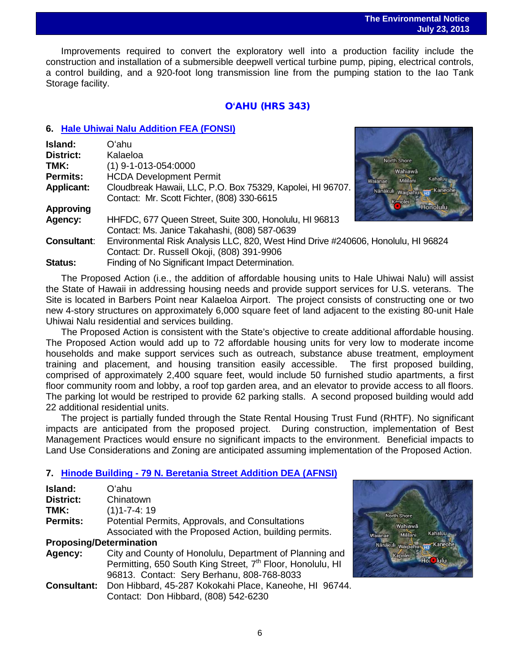Improvements required to convert the exploratory well into a production facility include the construction and installation of a submersible deepwell vertical turbine pump, piping, electrical controls, a control building, and a 920-foot long transmission line from the pumping station to the Iao Tank Storage facility.

#### O**ʻ**AHU (HRS 343)

#### **6. [Hale Uhiwai Nalu Addition](http://oeqc.doh.hawaii.gov/Shared%20Documents/EA_and_EIS_Online_Library/Oahu/2010s/2013-07-23-OA-FEA-5E-Hale-Uhiwai-Nalu-Addition.pdf) FEA (FONSI)**

| Island:            | Oʻahu.                                                                            |                                |
|--------------------|-----------------------------------------------------------------------------------|--------------------------------|
| <b>District:</b>   | Kalaeloa                                                                          | <b>North Shore</b>             |
| TMK:               | $(1)$ 9-1-013-054:0000                                                            | Wahiawā                        |
| <b>Permits:</b>    | <b>HCDA Development Permit</b>                                                    | Kahaluu<br>Mililani<br>Wajanae |
| <b>Applicant:</b>  | Cloudbreak Hawaii, LLC, P.O. Box 75329, Kapolei, HI 96707.                        | Kaned<br>Nanakuli Waipahu      |
|                    | Contact: Mr. Scott Fichter, (808) 330-6615                                        | anolei                         |
| <b>Approving</b>   |                                                                                   | <b>Honolulu</b>                |
| Agency:            | HHFDC, 677 Queen Street, Suite 300, Honolulu, HI 96813                            |                                |
|                    | Contact: Ms. Janice Takahashi, (808) 587-0639                                     |                                |
| <b>Consultant:</b> | Environmental Risk Analysis LLC, 820, West Hind Drive #240606, Honolulu, HI 96824 |                                |
|                    | Contact: Dr. Russell Okoji, (808) 391-9906                                        |                                |
| Status:            | Finding of No Significant Impact Determination.                                   |                                |

The Proposed Action (i.e., the addition of affordable housing units to Hale Uhiwai Nalu) will assist the State of Hawaii in addressing housing needs and provide support services for U.S. veterans. The Site is located in Barbers Point near Kalaeloa Airport. The project consists of constructing one or two new 4-story structures on approximately 6,000 square feet of land adjacent to the existing 80-unit Hale Uhiwai Nalu residential and services building.

The Proposed Action is consistent with the State's objective to create additional affordable housing. The Proposed Action would add up to 72 affordable housing units for very low to moderate income households and make support services such as outreach, substance abuse treatment, employment training and placement, and housing transition easily accessible. The first proposed building, comprised of approximately 2,400 square feet, would include 50 furnished studio apartments, a first floor community room and lobby, a roof top garden area, and an elevator to provide access to all floors. The parking lot would be restriped to provide 62 parking stalls. A second proposed building would add 22 additional residential units.

The project is partially funded through the State Rental Housing Trust Fund (RHTF). No significant impacts are anticipated from the proposed project. During construction, implementation of Best Management Practices would ensure no significant impacts to the environment. Beneficial impacts to Land Use Considerations and Zoning are anticipated assuming implementation of the Proposed Action.

# **7. Hinode Building - [79 N. Beretania Street Addition DEA \(AFNSI\)](http://oeqc.doh.hawaii.gov/Shared%20Documents/EA_and_EIS_Online_Library/Oahu/2010s/2013-07-23-OA-DEA-5B-Hinode-Building-79-N-Beretania-Street-Addition.pdf)**

| Island:                        | Oʻahu                                                                  |  |  |
|--------------------------------|------------------------------------------------------------------------|--|--|
| <b>District:</b>               | Chinatown                                                              |  |  |
| TMK:                           | $(1)1 - 7 - 4:19$                                                      |  |  |
| <b>Permits:</b>                | Potential Permits, Approvals, and Consultations                        |  |  |
|                                | Associated with the Proposed Action, building permits.                 |  |  |
| <b>Proposing/Determination</b> |                                                                        |  |  |
| Agency:                        | City and County of Honolulu, Department of Planning and                |  |  |
|                                | Permitting, 650 South King Street, 7 <sup>th</sup> Floor, Honolulu, HI |  |  |
|                                | 96813. Contact: Sery Berhanu, 808-768-8033                             |  |  |
|                                | Consultant: Don Hibbard, 45-287 Kokokahi Place, Kaneohe, HI 96744.     |  |  |
|                                | Contact: Don Hibbard, (808) 542-6230                                   |  |  |

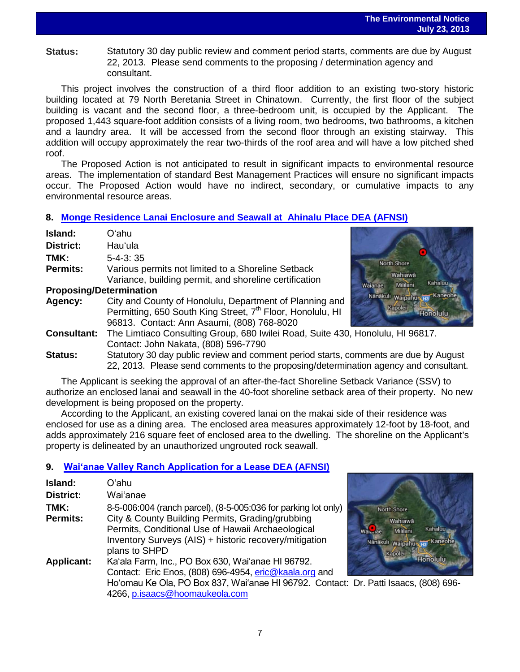**Status:** Statutory 30 day public review and comment period starts, comments are due by August 22, 2013. Please send comments to the proposing / determination agency and consultant.

This project involves the construction of a third floor addition to an existing two-story historic building located at 79 North Beretania Street in Chinatown. Currently, the first floor of the subject building is vacant and the second floor, a three-bedroom unit, is occupied by the Applicant. The proposed 1,443 square-foot addition consists of a living room, two bedrooms, two bathrooms, a kitchen and a laundry area. It will be accessed from the second floor through an existing stairway. This addition will occupy approximately the rear two-thirds of the roof area and will have a low pitched shed roof.

The Proposed Action is not anticipated to result in significant impacts to environmental resource areas. The implementation of standard Best Management Practices will ensure no significant impacts occur. The Proposed Action would have no indirect, secondary, or cumulative impacts to any environmental resource areas.

# **8. [Monge Residence Lanai Enclosure and Seawall](http://oeqc.doh.hawaii.gov/Shared%20Documents/EA_and_EIS_Online_Library/Oahu/2010s/2013-07-23-OA-DEA-5B-Monge-Residence-Lanai-Enclosure-and-Seawall-at-Ahinalu-Place.pdf) at Ahinalu Place DEA (AFNSI)**

| Island:                                                              | Oʻahu                                                                                |                                |
|----------------------------------------------------------------------|--------------------------------------------------------------------------------------|--------------------------------|
| <b>District:</b>                                                     | Hau'ula                                                                              |                                |
| TMK:                                                                 | $5 - 4 - 3:35$                                                                       | North Shore                    |
| <b>Permits:</b>                                                      | Various permits not limited to a Shoreline Setback                                   | Wahiawā                        |
|                                                                      | Variance, building permit, and shoreline certification                               | Kahaluu<br>Mililani<br>Waianae |
| <b>Proposing/Determination</b><br><b>Kaneohe</b><br>Nanakuli waipahu |                                                                                      |                                |
| Agency:                                                              | City and County of Honolulu, Department of Planning and                              |                                |
|                                                                      | Permitting, 650 South King Street, 7 <sup>th</sup> Floor, Honolulu, HI               | Kapolei<br><b>Honolulu</b>     |
|                                                                      | 96813. Contact: Ann Asaumi, (808) 768-8020                                           |                                |
| <b>Consultant:</b>                                                   | The Limtiaco Consulting Group, 680 Iwilei Road, Suite 430, Honolulu, HI 96817.       |                                |
|                                                                      | Contact: John Nakata, (808) 596-7790                                                 |                                |
| <b>Status:</b>                                                       | Statutory 30 day public review and comment period starts, comments are due by August |                                |
|                                                                      | 22, 2013. Please send comments to the proposing/determination agency and consultant. |                                |

The Applicant is seeking the approval of an after-the-fact Shoreline Setback Variance (SSV) to authorize an enclosed lanai and seawall in the 40-foot shoreline setback area of their property. No new development is being proposed on the property.

According to the Applicant, an existing covered lanai on the makai side of their residence was enclosed for use as a dining area. The enclosed area measures approximately 12-foot by 18-foot, and adds approximately 216 square feet of enclosed area to the dwelling. The shoreline on the Applicant's property is delineated by an unauthorized ungrouted rock seawall.

# **9. [Waiʻanae Valley Ranch Application for a Lease](http://oeqc.doh.hawaii.gov/Shared%20Documents/EA_and_EIS_Online_Library/Oahu/2010s/2013-07-23-OA-DEA-5E-Waianae-Valley-Ranch-Application-to-Lease.pdf) DEA (AFNSI)**

| Island:           | Oʻahu                                                                                |                               |
|-------------------|--------------------------------------------------------------------------------------|-------------------------------|
| <b>District:</b>  | Wai'anae                                                                             |                               |
| TMK:              | 8-5-006:004 (ranch parcel), (8-5-005:036 for parking lot only)                       | North Shore                   |
| <b>Permits:</b>   | City & County Building Permits, Grading/grubbing                                     | Wahiawā                       |
|                   | Permits, Conditional Use of Hawaii Archaeological                                    | Kahaluu<br>Mililan<br>Walanae |
|                   | Inventory Surveys (AIS) + historic recovery/mitigation                               | Nanakuli waipahus na Kaneohe  |
|                   | plans to SHPD                                                                        | Kapolei                       |
| <b>Applicant:</b> | Ka'ala Farm, Inc., PO Box 630, Wai'anae HI 96792.                                    | Honolulu                      |
|                   | Contact: Eric Enos, (808) 696-4954, eric@kaala.org and                               |                               |
|                   | Ho'omau Ke Ola, PO Box 837, Wai'anae HI 96792. Contact: Dr. Patti Isaacs, (808) 696- |                               |
|                   | 4266, p.isaacs@hoomaukeola.com                                                       |                               |

7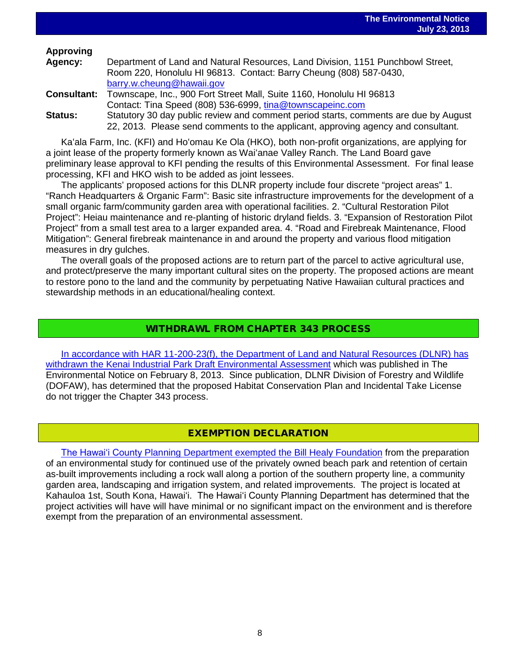# **Approving**

| Agency:            | Department of Land and Natural Resources, Land Division, 1151 Punchbowl Street,      |
|--------------------|--------------------------------------------------------------------------------------|
|                    | Room 220, Honolulu HI 96813. Contact: Barry Cheung (808) 587-0430,                   |
|                    | barry.w.cheung@hawaii.gov                                                            |
| <b>Consultant:</b> | Townscape, Inc., 900 Fort Street Mall, Suite 1160, Honolulu HI 96813                 |
|                    | Contact: Tina Speed (808) 536-6999, tina@townscapeinc.com                            |
| <b>Status:</b>     | Statutory 30 day public review and comment period starts, comments are due by August |
|                    | 22, 2013. Please send comments to the applicant, approving agency and consultant.    |

Kaʻala Farm, Inc. (KFI) and Hoʻomau Ke Ola (HKO), both non-profit organizations, are applying for a joint lease of the property formerly known as Waiʻanae Valley Ranch. The Land Board gave preliminary lease approval to KFI pending the results of this Environmental Assessment. For final lease processing, KFI and HKO wish to be added as joint lessees.

The applicants' proposed actions for this DLNR property include four discrete "project areas" 1. "Ranch Headquarters & Organic Farm": Basic site infrastructure improvements for the development of a small organic farm/community garden area with operational facilities. 2. "Cultural Restoration Pilot Project": Heiau maintenance and re-planting of historic dryland fields. 3. "Expansion of Restoration Pilot Project" from a small test area to a larger expanded area. 4. "Road and Firebreak Maintenance, Flood Mitigation": General firebreak maintenance in and around the property and various flood mitigation measures in dry gulches.

The overall goals of the proposed actions are to return part of the parcel to active agricultural use, and protect/preserve the many important cultural sites on the property. The proposed actions are meant to restore pono to the land and the community by perpetuating Native Hawaiian cultural practices and stewardship methods in an educational/healing context.

# WITHDRAWL FROM CHAPTER 343 PROCESS

[In accordance with HAR 11-200-23\(f\), the Department of Land and Natural Resources \(DLNR\) has](http://oeqc.doh.hawaii.gov/Shared%20Documents/EA_and_EIS_Online_Library/OTHER%20CHAPTER%20343%20NOTICES/2013-07-23-OA-Withdrawl-DEA-Kenai-Industrial-Park.pdf)  [withdrawn the Kenai Industrial Park Draft Environmental Assessment](http://oeqc.doh.hawaii.gov/Shared%20Documents/EA_and_EIS_Online_Library/OTHER%20CHAPTER%20343%20NOTICES/2013-07-23-OA-Withdrawl-DEA-Kenai-Industrial-Park.pdf) which was published in The Environmental Notice on February 8, 2013. Since publication, DLNR Division of Forestry and Wildlife (DOFAW), has determined that the proposed Habitat Conservation Plan and Incidental Take License do not trigger the Chapter 343 process.

# EXEMPTION DECLARATION

The Hawaiʻi County [Planning Department exempted the Bill Healy Foundation](http://oeqc.doh.hawaii.gov/Shared%20Documents/EA_and_EIS_Online_Library/OTHER%20CHAPTER%20343%20NOTICES/2013-07-23-HI-5E-EXD-Bill-Healy-Foundation-SMA-Use-Permit.pdf) from the preparation of an environmental study for continued use of the privately owned beach park and retention of certain as-built improvements including a rock wall along a portion of the southern property line, a community garden area, landscaping and irrigation system, and related improvements. The project is located at Kahauloa 1st, South Kona, Hawaiʻi. The Hawaiʻi County Planning Department has determined that the project activities will have will have minimal or no significant impact on the environment and is therefore exempt from the preparation of an environmental assessment.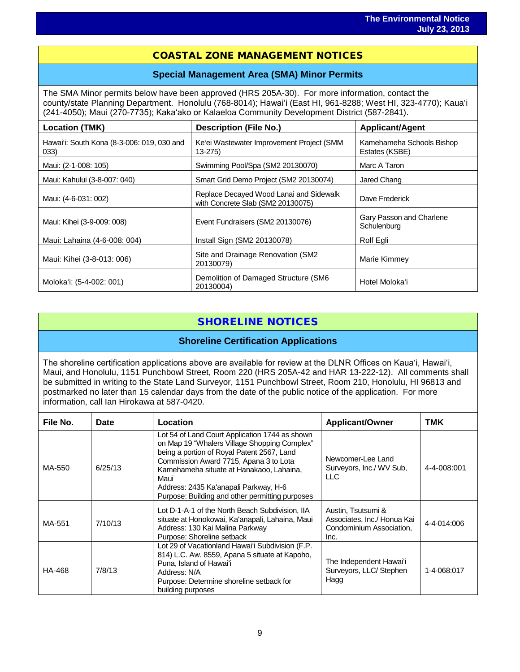# i<br>I COASTAL ZONE MANAGEMENT NOTICES

#### **Special Management Area (SMA) Minor Permits**

The SMA Minor permits below have been approved (HRS 205A-30). For more information, contact the county/state Planning Department. Honolulu (768-8014); Hawaiʻi (East HI, 961-8288; West HI, 323-4770); Kauaʻi (241-4050); Maui (270-7735); Kakaʻako or Kalaeloa Community Development District (587-2841).

| Location (TMK)                                     | <b>Description (File No.)</b>                                                | <b>Applicant/Agent</b>                      |
|----------------------------------------------------|------------------------------------------------------------------------------|---------------------------------------------|
| Hawai'i: South Kona (8-3-006: 019, 030 and<br>033) | Ke'ei Wastewater Improvement Project (SMM<br>$13 - 275$                      | Kamehameha Schools Bishop<br>Estates (KSBE) |
| Maui: (2-1-008: 105)                               | Swimming Pool/Spa (SM2 20130070)                                             | Marc A Taron                                |
| Maui: Kahului (3-8-007: 040)                       | Smart Grid Demo Project (SM2 20130074)                                       | Jared Chang                                 |
| Maui: (4-6-031: 002)                               | Replace Decayed Wood Lanai and Sidewalk<br>with Concrete Slab (SM2 20130075) | Dave Frederick                              |
| Maui: Kihei (3-9-009: 008)                         | Event Fundraisers (SM2 20130076)                                             | Gary Passon and Charlene<br>Schulenburg     |
| Maui: Lahaina (4-6-008: 004)                       | Install Sign (SM2 20130078)                                                  | Rolf Egli                                   |
| Maui: Kihei (3-8-013: 006)                         | Site and Drainage Renovation (SM2<br>20130079)                               | Marie Kimmey                                |
| Moloka'i: (5-4-002: 001)                           | Demolition of Damaged Structure (SM6<br>20130004)                            | Hotel Moloka'i                              |

# SHORELINE NOTICES

#### **Shoreline Certification Applications**

The shoreline certification applications above are available for review at the DLNR Offices on Kauaʻi, Hawaiʻi, Maui, and Honolulu, 1151 Punchbowl Street, Room 220 (HRS 205A-42 and HAR 13-222-12). All comments shall be submitted in writing to the State Land Surveyor, 1151 Punchbowl Street, Room 210, Honolulu, HI 96813 and postmarked no later than 15 calendar days from the date of the public notice of the application. For more information, call Ian Hirokawa at 587-0420.

| File No. | Date    | Location                                                                                                                                                                                                                                                                                                                               | <b>Applicant/Owner</b>                                                                | TMK         |
|----------|---------|----------------------------------------------------------------------------------------------------------------------------------------------------------------------------------------------------------------------------------------------------------------------------------------------------------------------------------------|---------------------------------------------------------------------------------------|-------------|
| MA-550   | 6/25/13 | Lot 54 of Land Court Application 1744 as shown<br>on Map 19 "Whalers Village Shopping Complex"<br>being a portion of Royal Patent 2567, Land<br>Commission Award 7715, Apana 3 to Lota<br>Kamehameha situate at Hanakaoo, Lahaina,<br>Maui<br>Address: 2435 Ka'anapali Parkway, H-6<br>Purpose: Building and other permitting purposes | Newcomer-Lee Land<br>Surveyors, Inc./ WV Sub.<br>LLC.                                 | 4-4-008:001 |
| MA-551   | 7/10/13 | Lot D-1-A-1 of the North Beach Subdivision, IIA<br>situate at Honokowai, Ka'anapali, Lahaina, Maui<br>Address: 130 Kai Malina Parkway<br>Purpose: Shoreline setback                                                                                                                                                                    | Austin, Tsutsumi &<br>Associates, Inc./ Honua Kai<br>Condominium Association,<br>Inc. | 4-4-014:006 |
| HA-468   | 7/8/13  | Lot 29 of Vacationland Hawai'i Subdivision (F.P.<br>814) L.C. Aw. 8559, Apana 5 situate at Kapoho,<br>Puna, Island of Hawai'i<br>Address: N/A<br>Purpose: Determine shoreline setback for<br>building purposes                                                                                                                         | The Independent Hawai'i<br>Surveyors, LLC/Stephen<br>Hagg                             | 1-4-068:017 |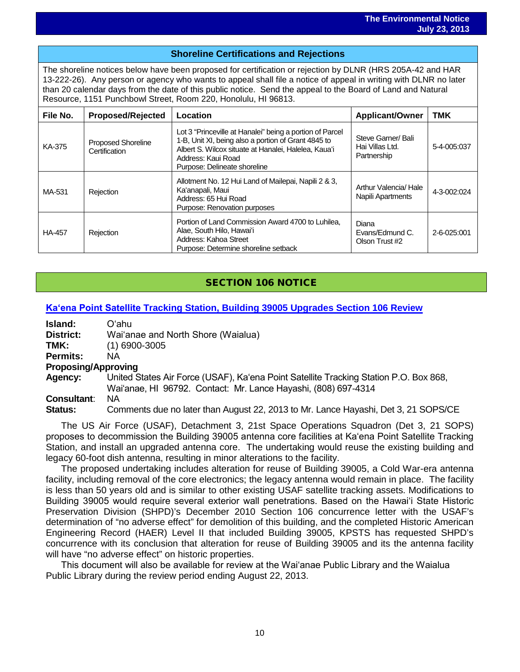# i<br>I **Shoreline Certifications and Rejections**

The shoreline notices below have been proposed for certification or rejection by DLNR (HRS 205A-42 and HAR 13-222-26). Any person or agency who wants to appeal shall file a notice of appeal in writing with DLNR no later than 20 calendar days from the date of this public notice. Send the appeal to the Board of Land and Natural Resource, 1151 Punchbowl Street, Room 220, Honolulu, HI 96813.

| File No.      | <b>Proposed/Rejected</b>                   | Location                                                                                                                                                                                                                      | <b>Applicant/Owner</b>                               | <b>TMK</b>  |  |  |  |
|---------------|--------------------------------------------|-------------------------------------------------------------------------------------------------------------------------------------------------------------------------------------------------------------------------------|------------------------------------------------------|-------------|--|--|--|
| KA-375        | <b>Proposed Shoreline</b><br>Certification | Lot 3 "Princeville at Hanalei" being a portion of Parcel<br>1-B, Unit XI, being also a portion of Grant 4845 to<br>Albert S. Wilcox situate at Hanalei, Halelea, Kaua'i<br>Address: Kaui Road<br>Purpose: Delineate shoreline | Steve Garner/ Bali<br>Hai Villas Ltd.<br>Partnership | 5-4-005:037 |  |  |  |
| MA-531        | Rejection                                  | Allotment No. 12 Hui Land of Mailepai, Napili 2 & 3,<br>Ka'anapali, Maui<br>Address: 65 Hui Road<br>Purpose: Renovation purposes                                                                                              | Arthur Valencia/Hale<br>Napili Apartments            | 4-3-002:024 |  |  |  |
| <b>HA-457</b> | Rejection                                  | Portion of Land Commission Award 4700 to Luhilea.<br>Alae, South Hilo, Hawai'i<br>Address: Kahoa Street<br>Purpose: Determine shoreline setback                                                                               | Diana<br>Evans/Edmund C.<br>Olson Trust #2           | 2-6-025:001 |  |  |  |

# SECTION 106 NOTICE

#### **Kaʻena Point Satellite [Tracking Station, Building 39005 Upgrades Section 106 Review](http://oeqc.doh.hawaii.gov/Shared%20Documents/EA_and_EIS_Online_Library/NEPA%20and%20Other%20Documents/2013-07-23-Section-106-Review-for-Upgrade-to-Kaena-Point-Satellite-Tracking-Station.pdf)**

| Island:   | Oʻahu |
|-----------|-------|
| Dirichlet | $M_i$ |

**District:** Waiʻanae and North Shore (Waialua)

**TMK:** (1) 6900-3005

**Permits:** NA

**Proposing/Approving Agency:** United States Air Force (USAF), Kaʻena Point Satellite Tracking Station P.O. Box 868, Waiʻanae, HI 96792. Contact: Mr. Lance Hayashi, (808) 697-4314

**Consultant**: NA

**Status:** Comments due no later than August 22, 2013 to Mr. Lance Hayashi, Det 3, 21 SOPS/CE

The US Air Force (USAF), Detachment 3, 21st Space Operations Squadron (Det 3, 21 SOPS) proposes to decommission the Building 39005 antenna core facilities at Kaʻena Point Satellite Tracking Station, and install an upgraded antenna core. The undertaking would reuse the existing building and legacy 60-foot dish antenna, resulting in minor alterations to the facility.

The proposed undertaking includes alteration for reuse of Building 39005, a Cold War-era antenna facility, including removal of the core electronics; the legacy antenna would remain in place. The facility is less than 50 years old and is similar to other existing USAF satellite tracking assets. Modifications to Building 39005 would require several exterior wall penetrations. Based on the Hawaiʻi State Historic Preservation Division (SHPD)'s December 2010 Section 106 concurrence letter with the USAF's determination of "no adverse effect" for demolition of this building, and the completed Historic American Engineering Record (HAER) Level II that included Building 39005, KPSTS has requested SHPD's concurrence with its conclusion that alteration for reuse of Building 39005 and its the antenna facility will have "no adverse effect" on historic properties.

This document will also be available for review at the Waiʻanae Public Library and the Waialua Public Library during the review period ending August 22, 2013.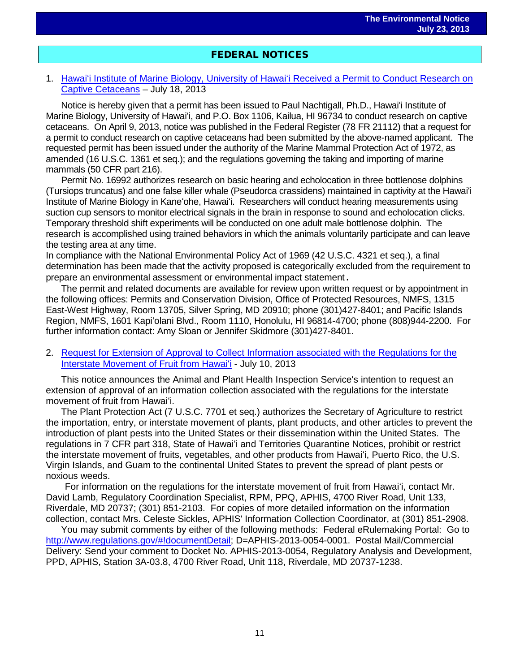# i<br>I FEDERAL NOTICES

#### 1. Hawaiʻ[i Institute of Marine Biology, University of Hawai](http://www.gpo.gov/fdsys/pkg/FR-2013-07-18/pdf/2013-17173.pdf)ʻi Received a Permit to Conduct Research on [Captive Cetaceans](http://www.gpo.gov/fdsys/pkg/FR-2013-07-18/pdf/2013-17173.pdf) – July 18, 2013

Notice is hereby given that a permit has been issued to Paul Nachtigall, Ph.D., Hawaiʻi Institute of Marine Biology, University of Hawaiʻi, and P.O. Box 1106, Kailua, HI 96734 to conduct research on captive cetaceans. On April 9, 2013, notice was published in the Federal Register (78 FR 21112) that a request for a permit to conduct research on captive cetaceans had been submitted by the above-named applicant. The requested permit has been issued under the authority of the Marine Mammal Protection Act of 1972, as amended (16 U.S.C. 1361 et seq.); and the regulations governing the taking and importing of marine mammals (50 CFR part 216).

Permit No. 16992 authorizes research on basic hearing and echolocation in three bottlenose dolphins (Tursiops truncatus) and one false killer whale (Pseudorca crassidens) maintained in captivity at the Hawaiʻi Institute of Marine Biology in Kaneʻohe, Hawaiʻi. Researchers will conduct hearing measurements using suction cup sensors to monitor electrical signals in the brain in response to sound and echolocation clicks. Temporary threshold shift experiments will be conducted on one adult male bottlenose dolphin. The research is accomplished using trained behaviors in which the animals voluntarily participate and can leave the testing area at any time.

In compliance with the National Environmental Policy Act of 1969 (42 U.S.C. 4321 et seq.), a final determination has been made that the activity proposed is categorically excluded from the requirement to prepare an environmental assessment or environmental impact statement.

The permit and related documents are available for review upon written request or by appointment in the following offices: Permits and Conservation Division, Office of Protected Resources, NMFS, 1315 East-West Highway, Room 13705, Silver Spring, MD 20910; phone (301)427-8401; and Pacific Islands Region, NMFS, 1601 Kapiʻolani Blvd., Room 1110, Honolulu, HI 96814-4700; phone (808)944-2200. For further information contact: Amy Sloan or Jennifer Skidmore (301)427-8401.

2. [Request for Extension of Approval to Collect Information associated with the Regulations for the](http://www.gpo.gov/fdsys/pkg/FR-2013-07-10/pdf/2013-16546.pdf)  [Interstate Movement of Fruit from Hawai](http://www.gpo.gov/fdsys/pkg/FR-2013-07-10/pdf/2013-16546.pdf)ʻi - July 10, 2013

This notice announces the Animal and Plant Health Inspection Service's intention to request an extension of approval of an information collection associated with the regulations for the interstate movement of fruit from Hawaiʻi.

The Plant Protection Act (7 U.S.C. 7701 et seq.) authorizes the Secretary of Agriculture to restrict the importation, entry, or interstate movement of plants, plant products, and other articles to prevent the introduction of plant pests into the United States or their dissemination within the United States. The regulations in 7 CFR part 318, State of Hawaiʻi and Territories Quarantine Notices, prohibit or restrict the interstate movement of fruits, vegetables, and other products from Hawaiʻi, Puerto Rico, the U.S. Virgin Islands, and Guam to the continental United States to prevent the spread of plant pests or noxious weeds.

For information on the regulations for the interstate movement of fruit from Hawaiʻi, contact Mr. David Lamb, Regulatory Coordination Specialist, RPM, PPQ, APHIS, 4700 River Road, Unit 133, Riverdale, MD 20737; (301) 851-2103. For copies of more detailed information on the information collection, contact Mrs. Celeste Sickles, APHIS' Information Collection Coordinator, at (301) 851-2908.

You may submit comments by either of the following methods: Federal eRulemaking Portal: Go to [http://www.regulations.gov/#!documentDetail;](http://www.regulations.gov/#!documentDetail) D=APHIS-2013-0054-0001. Postal Mail/Commercial Delivery: Send your comment to Docket No. APHIS-2013-0054, Regulatory Analysis and Development, PPD, APHIS, Station 3A-03.8, 4700 River Road, Unit 118, Riverdale, MD 20737-1238.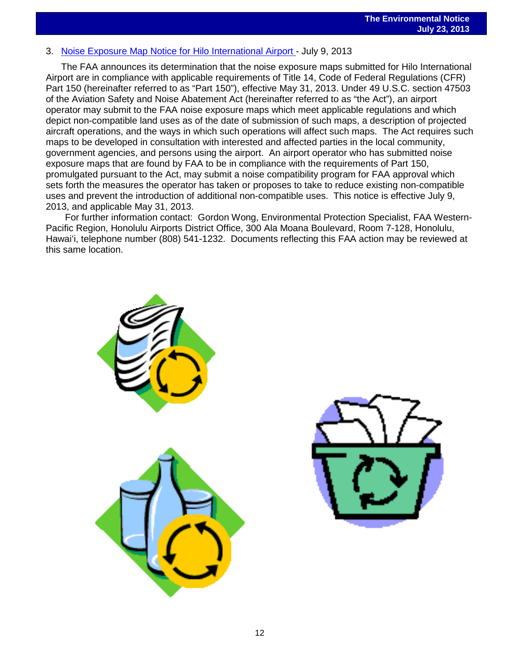# 3. [Noise Exposure Map Notice for Hilo International Airport -](http://www.gpo.gov/fdsys/pkg/FR-2013-07-09/pdf/2013-16451.pdf) July 9, 2013<br>3. Noise Exposure Map Notice for Hilo International Airport - July 9, 2013

The FAA announces its determination that the noise exposure maps submitted for Hilo International Airport are in compliance with applicable requirements of Title 14, Code of Federal Regulations (CFR) Part 150 (hereinafter referred to as "Part 150"), effective May 31, 2013. Under 49 U.S.C. section 47503 of the Aviation Safety and Noise Abatement Act (hereinafter referred to as "the Act"), an airport operator may submit to the FAA noise exposure maps which meet applicable regulations and which depict non-compatible land uses as of the date of submission of such maps, a description of projected aircraft operations, and the ways in which such operations will affect such maps. The Act requires such maps to be developed in consultation with interested and affected parties in the local community, government agencies, and persons using the airport. An airport operator who has submitted noise exposure maps that are found by FAA to be in compliance with the requirements of Part 150, promulgated pursuant to the Act, may submit a noise compatibility program for FAA approval which sets forth the measures the operator has taken or proposes to take to reduce existing non-compatible uses and prevent the introduction of additional non-compatible uses. This notice is effective July 9, 2013, and applicable May 31, 2013.

For further information contact: Gordon Wong, Environmental Protection Specialist, FAA Western-Pacific Region, Honolulu Airports District Office, 300 Ala Moana Boulevard, Room 7-128, Honolulu, Hawaiʻi, telephone number (808) 541-1232. Documents reflecting this FAA action may be reviewed at this same location.